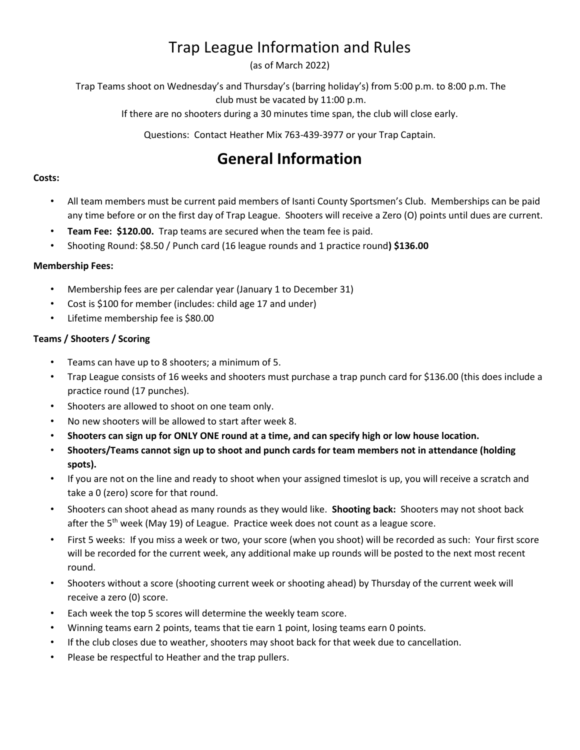# Trap League Information and Rules

(as of March 2022)

Trap Teams shoot on Wednesday's and Thursday's (barring holiday's) from 5:00 p.m. to 8:00 p.m. The club must be vacated by 11:00 p.m.

If there are no shooters during a 30 minutes time span, the club will close early.

Questions: Contact Heather Mix 763-439-3977 or your Trap Captain.

# **General Information**

### **Costs:**

- All team members must be current paid members of Isanti County Sportsmen's Club. Memberships can be paid any time before or on the first day of Trap League. Shooters will receive a Zero (O) points until dues are current.
- **Team Fee: \$120.00.** Trap teams are secured when the team fee is paid.
- Shooting Round: \$8.50 / Punch card (16 league rounds and 1 practice round**) \$136.00**

### **Membership Fees:**

- Membership fees are per calendar year (January 1 to December 31)
- Cost is \$100 for member (includes: child age 17 and under)
- Lifetime membership fee is \$80.00

# **Teams / Shooters / Scoring**

- Teams can have up to 8 shooters; a minimum of 5.
- Trap League consists of 16 weeks and shooters must purchase a trap punch card for \$136.00 (this does include a practice round (17 punches).
- Shooters are allowed to shoot on one team only.
- No new shooters will be allowed to start after week 8.
- **Shooters can sign up for ONLY ONE round at a time, and can specify high or low house location.**
- **Shooters/Teams cannot sign up to shoot and punch cards for team members not in attendance (holding spots).**
- If you are not on the line and ready to shoot when your assigned timeslot is up, you will receive a scratch and take a 0 (zero) score for that round.
- Shooters can shoot ahead as many rounds as they would like. **Shooting back:** Shooters may not shoot back after the 5<sup>th</sup> week (May 19) of League. Practice week does not count as a league score.
- First 5 weeks: If you miss a week or two, your score (when you shoot) will be recorded as such: Your first score will be recorded for the current week, any additional make up rounds will be posted to the next most recent round.
- Shooters without a score (shooting current week or shooting ahead) by Thursday of the current week will receive a zero (0) score.
- Each week the top 5 scores will determine the weekly team score.
- Winning teams earn 2 points, teams that tie earn 1 point, losing teams earn 0 points.
- If the club closes due to weather, shooters may shoot back for that week due to cancellation.
- Please be respectful to Heather and the trap pullers.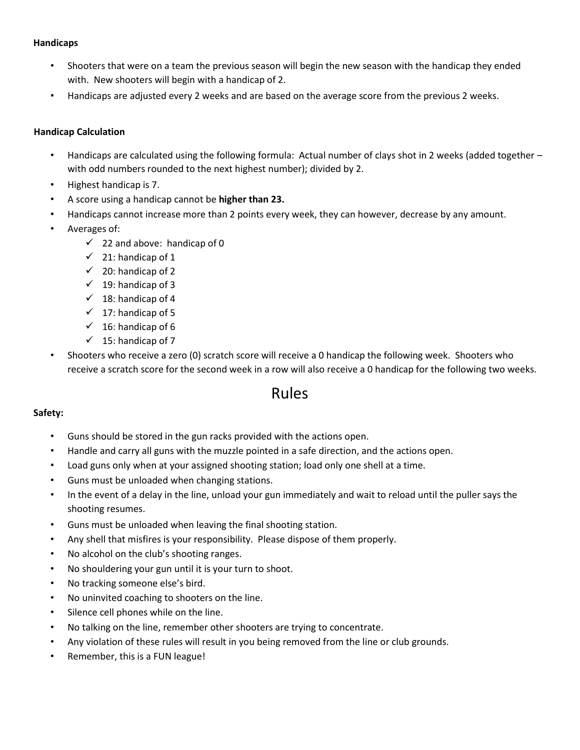#### **Handicaps**

- Shooters that were on a team the previous season will begin the new season with the handicap they ended with. New shooters will begin with a handicap of 2.
- Handicaps are adjusted every 2 weeks and are based on the average score from the previous 2 weeks.

#### **Handicap Calculation**

- Handicaps are calculated using the following formula: Actual number of clays shot in 2 weeks (added together with odd numbers rounded to the next highest number); divided by 2.
- Highest handicap is 7.
- A score using a handicap cannot be **higher than 23.**
- Handicaps cannot increase more than 2 points every week, they can however, decrease by any amount.
- Averages of:
	- $\checkmark$  22 and above: handicap of 0
	- $\checkmark$  21: handicap of 1
	- $\checkmark$  20: handicap of 2
	- $\checkmark$  19: handicap of 3
	- $\checkmark$  18: handicap of 4
	- $\checkmark$  17: handicap of 5
	- $\checkmark$  16: handicap of 6
	- $\checkmark$  15: handicap of 7
- Shooters who receive a zero (0) scratch score will receive a 0 handicap the following week. Shooters who receive a scratch score for the second week in a row will also receive a 0 handicap for the following two weeks.

# Rules

#### **Safety:**

- Guns should be stored in the gun racks provided with the actions open.
- Handle and carry all guns with the muzzle pointed in a safe direction, and the actions open.
- Load guns only when at your assigned shooting station; load only one shell at a time.
- Guns must be unloaded when changing stations.
- In the event of a delay in the line, unload your gun immediately and wait to reload until the puller says the shooting resumes.
- Guns must be unloaded when leaving the final shooting station.
- Any shell that misfires is your responsibility. Please dispose of them properly.
- No alcohol on the club's shooting ranges.
- No shouldering your gun until it is your turn to shoot.
- No tracking someone else's bird.
- No uninvited coaching to shooters on the line.
- Silence cell phones while on the line.
- No talking on the line, remember other shooters are trying to concentrate.
- Any violation of these rules will result in you being removed from the line or club grounds.
- Remember, this is a FUN league!